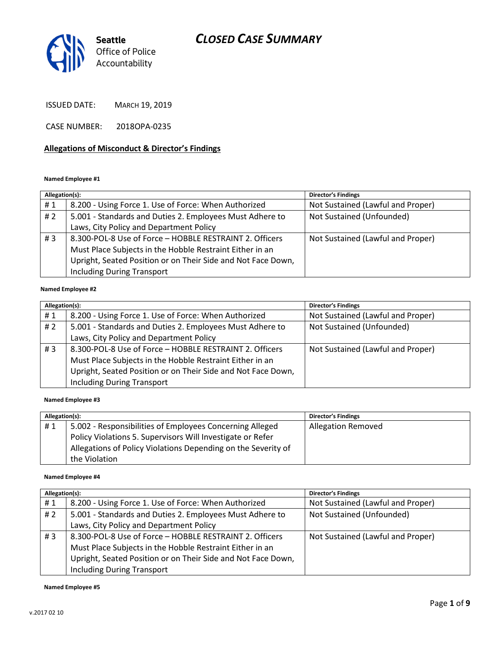# CLOSED CASE SUMMARY



ISSUED DATE: MARCH 19, 2019

CASE NUMBER: 2018OPA-0235

#### Allegations of Misconduct & Director's Findings

#### Named Employee #1

| Allegation(s): |                                                              | <b>Director's Findings</b>        |
|----------------|--------------------------------------------------------------|-----------------------------------|
| #1             | 8.200 - Using Force 1. Use of Force: When Authorized         | Not Sustained (Lawful and Proper) |
| #2             | 5.001 - Standards and Duties 2. Employees Must Adhere to     | Not Sustained (Unfounded)         |
|                | Laws, City Policy and Department Policy                      |                                   |
| # $3$          | 8.300-POL-8 Use of Force - HOBBLE RESTRAINT 2. Officers      | Not Sustained (Lawful and Proper) |
|                | Must Place Subjects in the Hobble Restraint Either in an     |                                   |
|                | Upright, Seated Position or on Their Side and Not Face Down, |                                   |
|                | <b>Including During Transport</b>                            |                                   |
|                |                                                              |                                   |

#### Named Employee #2

| Allegation(s): |                                                              | <b>Director's Findings</b>        |
|----------------|--------------------------------------------------------------|-----------------------------------|
| #1             | 8.200 - Using Force 1. Use of Force: When Authorized         | Not Sustained (Lawful and Proper) |
| # 2            | 5.001 - Standards and Duties 2. Employees Must Adhere to     | Not Sustained (Unfounded)         |
|                | Laws, City Policy and Department Policy                      |                                   |
| #3             | 8.300-POL-8 Use of Force - HOBBLE RESTRAINT 2. Officers      | Not Sustained (Lawful and Proper) |
|                | Must Place Subjects in the Hobble Restraint Either in an     |                                   |
|                | Upright, Seated Position or on Their Side and Not Face Down, |                                   |
|                | <b>Including During Transport</b>                            |                                   |

#### Named Employee #3

| Allegation(s): |                                                               | <b>Director's Findings</b> |
|----------------|---------------------------------------------------------------|----------------------------|
| #1             | 5.002 - Responsibilities of Employees Concerning Alleged      | Allegation Removed         |
|                | Policy Violations 5. Supervisors Will Investigate or Refer    |                            |
|                | Allegations of Policy Violations Depending on the Severity of |                            |
|                | the Violation                                                 |                            |

#### Named Employee #4

| Allegation(s): |                                                              | <b>Director's Findings</b>        |
|----------------|--------------------------------------------------------------|-----------------------------------|
| #1             | 8.200 - Using Force 1. Use of Force: When Authorized         | Not Sustained (Lawful and Proper) |
| # $2$          | 5.001 - Standards and Duties 2. Employees Must Adhere to     | Not Sustained (Unfounded)         |
|                | Laws, City Policy and Department Policy                      |                                   |
| #3             | 8.300-POL-8 Use of Force - HOBBLE RESTRAINT 2. Officers      | Not Sustained (Lawful and Proper) |
|                | Must Place Subjects in the Hobble Restraint Either in an     |                                   |
|                | Upright, Seated Position or on Their Side and Not Face Down, |                                   |
|                | <b>Including During Transport</b>                            |                                   |

#### Named Employee #5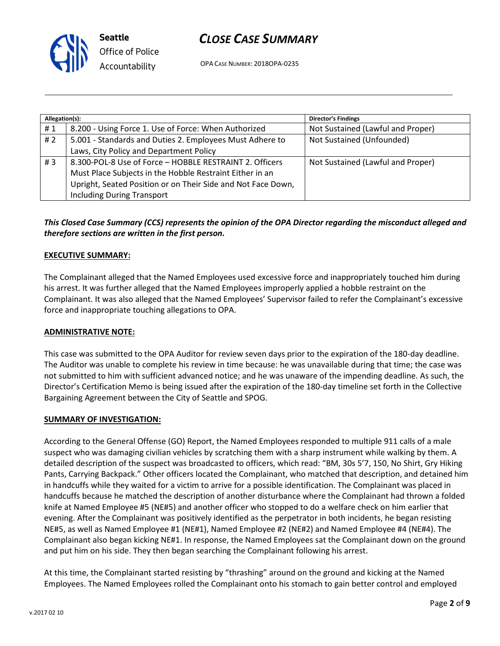

## CLOSE CASE SUMMARY

OPA CASE NUMBER: 2018OPA-0235

| Allegation(s): |                                                              | <b>Director's Findings</b>        |
|----------------|--------------------------------------------------------------|-----------------------------------|
| #1             | 8.200 - Using Force 1. Use of Force: When Authorized         | Not Sustained (Lawful and Proper) |
| # 2            | 5.001 - Standards and Duties 2. Employees Must Adhere to     | Not Sustained (Unfounded)         |
|                | Laws, City Policy and Department Policy                      |                                   |
| #3             | 8.300-POL-8 Use of Force - HOBBLE RESTRAINT 2. Officers      | Not Sustained (Lawful and Proper) |
|                | Must Place Subjects in the Hobble Restraint Either in an     |                                   |
|                | Upright, Seated Position or on Their Side and Not Face Down, |                                   |
|                | <b>Including During Transport</b>                            |                                   |

### This Closed Case Summary (CCS) represents the opinion of the OPA Director regarding the misconduct alleged and therefore sections are written in the first person.

#### EXECUTIVE SUMMARY:

The Complainant alleged that the Named Employees used excessive force and inappropriately touched him during his arrest. It was further alleged that the Named Employees improperly applied a hobble restraint on the Complainant. It was also alleged that the Named Employees' Supervisor failed to refer the Complainant's excessive force and inappropriate touching allegations to OPA.

#### ADMINISTRATIVE NOTE:

This case was submitted to the OPA Auditor for review seven days prior to the expiration of the 180-day deadline. The Auditor was unable to complete his review in time because: he was unavailable during that time; the case was not submitted to him with sufficient advanced notice; and he was unaware of the impending deadline. As such, the Director's Certification Memo is being issued after the expiration of the 180-day timeline set forth in the Collective Bargaining Agreement between the City of Seattle and SPOG.

#### SUMMARY OF INVESTIGATION:

According to the General Offense (GO) Report, the Named Employees responded to multiple 911 calls of a male suspect who was damaging civilian vehicles by scratching them with a sharp instrument while walking by them. A detailed description of the suspect was broadcasted to officers, which read: "BM, 30s 5'7, 150, No Shirt, Gry Hiking Pants, Carrying Backpack." Other officers located the Complainant, who matched that description, and detained him in handcuffs while they waited for a victim to arrive for a possible identification. The Complainant was placed in handcuffs because he matched the description of another disturbance where the Complainant had thrown a folded knife at Named Employee #5 (NE#5) and another officer who stopped to do a welfare check on him earlier that evening. After the Complainant was positively identified as the perpetrator in both incidents, he began resisting NE#5, as well as Named Employee #1 (NE#1), Named Employee #2 (NE#2) and Named Employee #4 (NE#4). The Complainant also began kicking NE#1. In response, the Named Employees sat the Complainant down on the ground and put him on his side. They then began searching the Complainant following his arrest.

At this time, the Complainant started resisting by "thrashing" around on the ground and kicking at the Named Employees. The Named Employees rolled the Complainant onto his stomach to gain better control and employed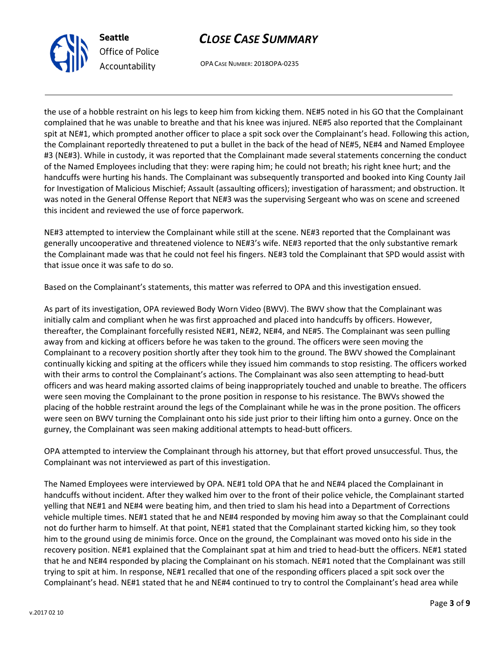



OPA CASE NUMBER: 2018OPA-0235

the use of a hobble restraint on his legs to keep him from kicking them. NE#5 noted in his GO that the Complainant complained that he was unable to breathe and that his knee was injured. NE#5 also reported that the Complainant spit at NE#1, which prompted another officer to place a spit sock over the Complainant's head. Following this action, the Complainant reportedly threatened to put a bullet in the back of the head of NE#5, NE#4 and Named Employee #3 (NE#3). While in custody, it was reported that the Complainant made several statements concerning the conduct of the Named Employees including that they: were raping him; he could not breath; his right knee hurt; and the handcuffs were hurting his hands. The Complainant was subsequently transported and booked into King County Jail for Investigation of Malicious Mischief; Assault (assaulting officers); investigation of harassment; and obstruction. It was noted in the General Offense Report that NE#3 was the supervising Sergeant who was on scene and screened this incident and reviewed the use of force paperwork.

NE#3 attempted to interview the Complainant while still at the scene. NE#3 reported that the Complainant was generally uncooperative and threatened violence to NE#3's wife. NE#3 reported that the only substantive remark the Complainant made was that he could not feel his fingers. NE#3 told the Complainant that SPD would assist with that issue once it was safe to do so.

Based on the Complainant's statements, this matter was referred to OPA and this investigation ensued.

As part of its investigation, OPA reviewed Body Worn Video (BWV). The BWV show that the Complainant was initially calm and compliant when he was first approached and placed into handcuffs by officers. However, thereafter, the Complainant forcefully resisted NE#1, NE#2, NE#4, and NE#5. The Complainant was seen pulling away from and kicking at officers before he was taken to the ground. The officers were seen moving the Complainant to a recovery position shortly after they took him to the ground. The BWV showed the Complainant continually kicking and spiting at the officers while they issued him commands to stop resisting. The officers worked with their arms to control the Complainant's actions. The Complainant was also seen attempting to head-butt officers and was heard making assorted claims of being inappropriately touched and unable to breathe. The officers were seen moving the Complainant to the prone position in response to his resistance. The BWVs showed the placing of the hobble restraint around the legs of the Complainant while he was in the prone position. The officers were seen on BWV turning the Complainant onto his side just prior to their lifting him onto a gurney. Once on the gurney, the Complainant was seen making additional attempts to head-butt officers.

OPA attempted to interview the Complainant through his attorney, but that effort proved unsuccessful. Thus, the Complainant was not interviewed as part of this investigation.

The Named Employees were interviewed by OPA. NE#1 told OPA that he and NE#4 placed the Complainant in handcuffs without incident. After they walked him over to the front of their police vehicle, the Complainant started yelling that NE#1 and NE#4 were beating him, and then tried to slam his head into a Department of Corrections vehicle multiple times. NE#1 stated that he and NE#4 responded by moving him away so that the Complainant could not do further harm to himself. At that point, NE#1 stated that the Complainant started kicking him, so they took him to the ground using de minimis force. Once on the ground, the Complainant was moved onto his side in the recovery position. NE#1 explained that the Complainant spat at him and tried to head-butt the officers. NE#1 stated that he and NE#4 responded by placing the Complainant on his stomach. NE#1 noted that the Complainant was still trying to spit at him. In response, NE#1 recalled that one of the responding officers placed a spit sock over the Complainant's head. NE#1 stated that he and NE#4 continued to try to control the Complainant's head area while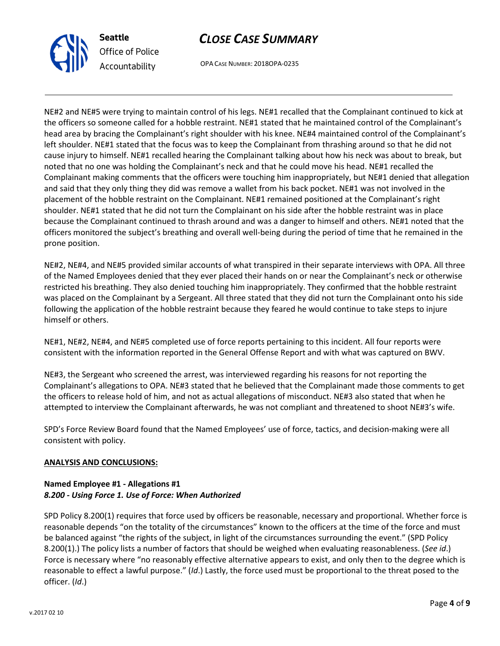

## CLOSE CASE SUMMARY

OPA CASE NUMBER: 2018OPA-0235

NE#2 and NE#5 were trying to maintain control of his legs. NE#1 recalled that the Complainant continued to kick at the officers so someone called for a hobble restraint. NE#1 stated that he maintained control of the Complainant's head area by bracing the Complainant's right shoulder with his knee. NE#4 maintained control of the Complainant's left shoulder. NE#1 stated that the focus was to keep the Complainant from thrashing around so that he did not cause injury to himself. NE#1 recalled hearing the Complainant talking about how his neck was about to break, but noted that no one was holding the Complainant's neck and that he could move his head. NE#1 recalled the Complainant making comments that the officers were touching him inappropriately, but NE#1 denied that allegation and said that they only thing they did was remove a wallet from his back pocket. NE#1 was not involved in the placement of the hobble restraint on the Complainant. NE#1 remained positioned at the Complainant's right shoulder. NE#1 stated that he did not turn the Complainant on his side after the hobble restraint was in place because the Complainant continued to thrash around and was a danger to himself and others. NE#1 noted that the officers monitored the subject's breathing and overall well-being during the period of time that he remained in the prone position.

NE#2, NE#4, and NE#5 provided similar accounts of what transpired in their separate interviews with OPA. All three of the Named Employees denied that they ever placed their hands on or near the Complainant's neck or otherwise restricted his breathing. They also denied touching him inappropriately. They confirmed that the hobble restraint was placed on the Complainant by a Sergeant. All three stated that they did not turn the Complainant onto his side following the application of the hobble restraint because they feared he would continue to take steps to injure himself or others.

NE#1, NE#2, NE#4, and NE#5 completed use of force reports pertaining to this incident. All four reports were consistent with the information reported in the General Offense Report and with what was captured on BWV.

NE#3, the Sergeant who screened the arrest, was interviewed regarding his reasons for not reporting the Complainant's allegations to OPA. NE#3 stated that he believed that the Complainant made those comments to get the officers to release hold of him, and not as actual allegations of misconduct. NE#3 also stated that when he attempted to interview the Complainant afterwards, he was not compliant and threatened to shoot NE#3's wife.

SPD's Force Review Board found that the Named Employees' use of force, tactics, and decision-making were all consistent with policy.

#### ANALYSIS AND CONCLUSIONS:

#### Named Employee #1 - Allegations #1 8.200 - Using Force 1. Use of Force: When Authorized

SPD Policy 8.200(1) requires that force used by officers be reasonable, necessary and proportional. Whether force is reasonable depends "on the totality of the circumstances" known to the officers at the time of the force and must be balanced against "the rights of the subject, in light of the circumstances surrounding the event." (SPD Policy 8.200(1).) The policy lists a number of factors that should be weighed when evaluating reasonableness. (See id.) Force is necessary where "no reasonably effective alternative appears to exist, and only then to the degree which is reasonable to effect a lawful purpose." (Id.) Lastly, the force used must be proportional to the threat posed to the officer. (Id.)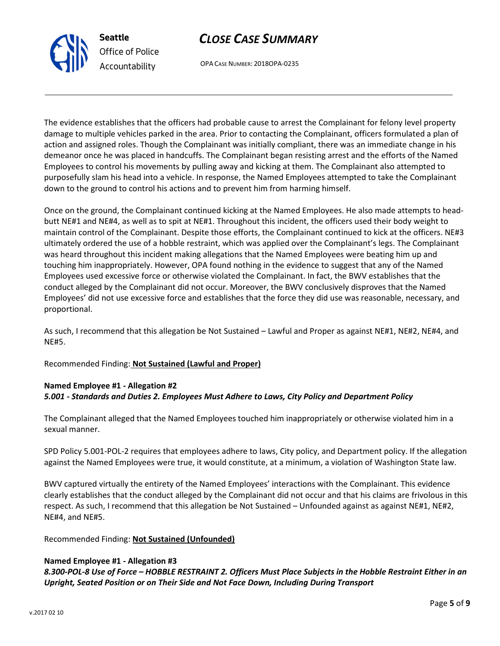# CLOSE CASE SUMMARY

OPA CASE NUMBER: 2018OPA-0235

The evidence establishes that the officers had probable cause to arrest the Complainant for felony level property damage to multiple vehicles parked in the area. Prior to contacting the Complainant, officers formulated a plan of action and assigned roles. Though the Complainant was initially compliant, there was an immediate change in his demeanor once he was placed in handcuffs. The Complainant began resisting arrest and the efforts of the Named Employees to control his movements by pulling away and kicking at them. The Complainant also attempted to purposefully slam his head into a vehicle. In response, the Named Employees attempted to take the Complainant down to the ground to control his actions and to prevent him from harming himself.

Once on the ground, the Complainant continued kicking at the Named Employees. He also made attempts to headbutt NE#1 and NE#4, as well as to spit at NE#1. Throughout this incident, the officers used their body weight to maintain control of the Complainant. Despite those efforts, the Complainant continued to kick at the officers. NE#3 ultimately ordered the use of a hobble restraint, which was applied over the Complainant's legs. The Complainant was heard throughout this incident making allegations that the Named Employees were beating him up and touching him inappropriately. However, OPA found nothing in the evidence to suggest that any of the Named Employees used excessive force or otherwise violated the Complainant. In fact, the BWV establishes that the conduct alleged by the Complainant did not occur. Moreover, the BWV conclusively disproves that the Named Employees' did not use excessive force and establishes that the force they did use was reasonable, necessary, and proportional.

As such, I recommend that this allegation be Not Sustained – Lawful and Proper as against NE#1, NE#2, NE#4, and NE#5.

Recommended Finding: Not Sustained (Lawful and Proper)

### Named Employee #1 - Allegation #2 5.001 - Standards and Duties 2. Employees Must Adhere to Laws, City Policy and Department Policy

The Complainant alleged that the Named Employees touched him inappropriately or otherwise violated him in a sexual manner.

SPD Policy 5.001-POL-2 requires that employees adhere to laws, City policy, and Department policy. If the allegation against the Named Employees were true, it would constitute, at a minimum, a violation of Washington State law.

BWV captured virtually the entirety of the Named Employees' interactions with the Complainant. This evidence clearly establishes that the conduct alleged by the Complainant did not occur and that his claims are frivolous in this respect. As such, I recommend that this allegation be Not Sustained – Unfounded against as against NE#1, NE#2, NE#4, and NE#5.

#### Recommended Finding: Not Sustained (Unfounded)

#### Named Employee #1 - Allegation #3

8.300-POL-8 Use of Force – HOBBLE RESTRAINT 2. Officers Must Place Subjects in the Hobble Restraint Either in an Upright, Seated Position or on Their Side and Not Face Down, Including During Transport



Seattle

Office of Police Accountability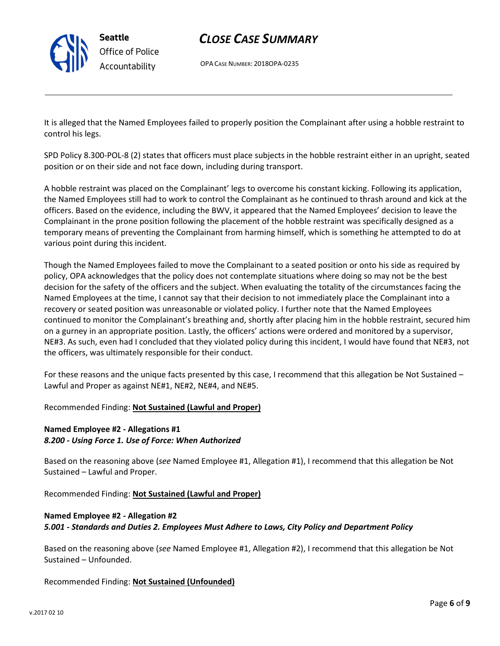

## CLOSE CASE SUMMARY

OPA CASE NUMBER: 2018OPA-0235

It is alleged that the Named Employees failed to properly position the Complainant after using a hobble restraint to control his legs.

SPD Policy 8.300-POL-8 (2) states that officers must place subjects in the hobble restraint either in an upright, seated position or on their side and not face down, including during transport.

A hobble restraint was placed on the Complainant' legs to overcome his constant kicking. Following its application, the Named Employees still had to work to control the Complainant as he continued to thrash around and kick at the officers. Based on the evidence, including the BWV, it appeared that the Named Employees' decision to leave the Complainant in the prone position following the placement of the hobble restraint was specifically designed as a temporary means of preventing the Complainant from harming himself, which is something he attempted to do at various point during this incident.

Though the Named Employees failed to move the Complainant to a seated position or onto his side as required by policy, OPA acknowledges that the policy does not contemplate situations where doing so may not be the best decision for the safety of the officers and the subject. When evaluating the totality of the circumstances facing the Named Employees at the time, I cannot say that their decision to not immediately place the Complainant into a recovery or seated position was unreasonable or violated policy. I further note that the Named Employees continued to monitor the Complainant's breathing and, shortly after placing him in the hobble restraint, secured him on a gurney in an appropriate position. Lastly, the officers' actions were ordered and monitored by a supervisor, NE#3. As such, even had I concluded that they violated policy during this incident, I would have found that NE#3, not the officers, was ultimately responsible for their conduct.

For these reasons and the unique facts presented by this case, I recommend that this allegation be Not Sustained – Lawful and Proper as against NE#1, NE#2, NE#4, and NE#5.

#### Recommended Finding: Not Sustained (Lawful and Proper)

#### Named Employee #2 - Allegations #1 8.200 - Using Force 1. Use of Force: When Authorized

Based on the reasoning above (see Named Employee #1, Allegation #1), I recommend that this allegation be Not Sustained – Lawful and Proper.

Recommended Finding: Not Sustained (Lawful and Proper)

### Named Employee #2 - Allegation #2 5.001 - Standards and Duties 2. Employees Must Adhere to Laws, City Policy and Department Policy

Based on the reasoning above (see Named Employee #1, Allegation #2), I recommend that this allegation be Not Sustained – Unfounded.

Recommended Finding: Not Sustained (Unfounded)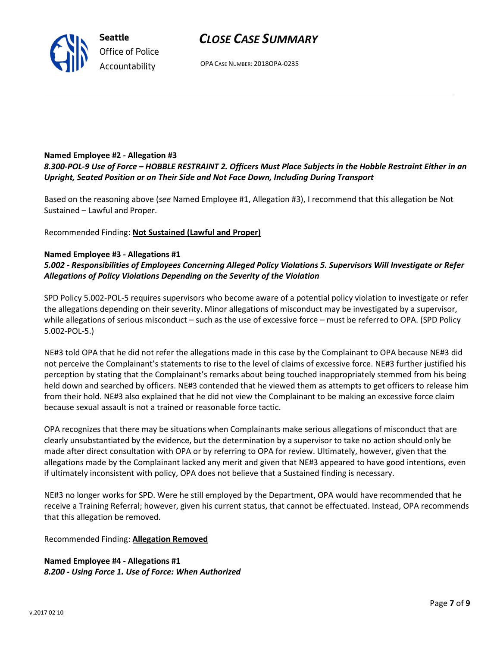## CLOSE CASE SUMMARY

OPA CASE NUMBER: 2018OPA-0235

#### Named Employee #2 - Allegation #3 8.300-POL-9 Use of Force – HOBBLE RESTRAINT 2. Officers Must Place Subjects in the Hobble Restraint Either in an Upright, Seated Position or on Their Side and Not Face Down, Including During Transport

Based on the reasoning above (see Named Employee #1, Allegation #3), I recommend that this allegation be Not Sustained – Lawful and Proper.

Recommended Finding: Not Sustained (Lawful and Proper)

#### Named Employee #3 - Allegations #1

### 5.002 - Responsibilities of Employees Concerning Alleged Policy Violations 5. Supervisors Will Investigate or Refer Allegations of Policy Violations Depending on the Severity of the Violation

SPD Policy 5.002-POL-5 requires supervisors who become aware of a potential policy violation to investigate or refer the allegations depending on their severity. Minor allegations of misconduct may be investigated by a supervisor, while allegations of serious misconduct – such as the use of excessive force – must be referred to OPA. (SPD Policy 5.002-POL-5.)

NE#3 told OPA that he did not refer the allegations made in this case by the Complainant to OPA because NE#3 did not perceive the Complainant's statements to rise to the level of claims of excessive force. NE#3 further justified his perception by stating that the Complainant's remarks about being touched inappropriately stemmed from his being held down and searched by officers. NE#3 contended that he viewed them as attempts to get officers to release him from their hold. NE#3 also explained that he did not view the Complainant to be making an excessive force claim because sexual assault is not a trained or reasonable force tactic.

OPA recognizes that there may be situations when Complainants make serious allegations of misconduct that are clearly unsubstantiated by the evidence, but the determination by a supervisor to take no action should only be made after direct consultation with OPA or by referring to OPA for review. Ultimately, however, given that the allegations made by the Complainant lacked any merit and given that NE#3 appeared to have good intentions, even if ultimately inconsistent with policy, OPA does not believe that a Sustained finding is necessary.

NE#3 no longer works for SPD. Were he still employed by the Department, OPA would have recommended that he receive a Training Referral; however, given his current status, that cannot be effectuated. Instead, OPA recommends that this allegation be removed.

Recommended Finding: Allegation Removed

Named Employee #4 - Allegations #1 8.200 - Using Force 1. Use of Force: When Authorized



Seattle Office of Police Accountability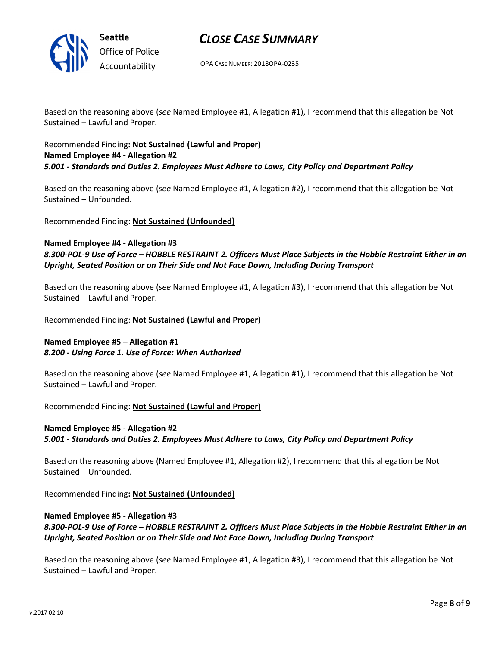

## CLOSE CASE SUMMARY

OPA CASE NUMBER: 2018OPA-0235

Based on the reasoning above (see Named Employee #1, Allegation #1), I recommend that this allegation be Not Sustained – Lawful and Proper.

#### Recommended Finding: Not Sustained (Lawful and Proper) Named Employee #4 - Allegation #2 5.001 - Standards and Duties 2. Employees Must Adhere to Laws, City Policy and Department Policy

Based on the reasoning above (see Named Employee #1, Allegation #2), I recommend that this allegation be Not Sustained – Unfounded.

Recommended Finding: Not Sustained (Unfounded)

#### Named Employee #4 - Allegation #3 8.300-POL-9 Use of Force – HOBBLE RESTRAINT 2. Officers Must Place Subjects in the Hobble Restraint Either in an Upright, Seated Position or on Their Side and Not Face Down, Including During Transport

Based on the reasoning above (see Named Employee #1, Allegation #3), I recommend that this allegation be Not Sustained – Lawful and Proper.

Recommended Finding: Not Sustained (Lawful and Proper)

#### Named Employee #5 – Allegation #1 8.200 - Using Force 1. Use of Force: When Authorized

Based on the reasoning above (see Named Employee #1, Allegation #1), I recommend that this allegation be Not Sustained – Lawful and Proper.

Recommended Finding: Not Sustained (Lawful and Proper)

## Named Employee #5 - Allegation #2 5.001 - Standards and Duties 2. Employees Must Adhere to Laws, City Policy and Department Policy

Based on the reasoning above (Named Employee #1, Allegation #2), I recommend that this allegation be Not Sustained – Unfounded.

Recommended Finding: Not Sustained (Unfounded)

## Named Employee #5 - Allegation #3

8.300-POL-9 Use of Force – HOBBLE RESTRAINT 2. Officers Must Place Subjects in the Hobble Restraint Either in an Upright, Seated Position or on Their Side and Not Face Down, Including During Transport

Based on the reasoning above (see Named Employee #1, Allegation #3), I recommend that this allegation be Not Sustained – Lawful and Proper.